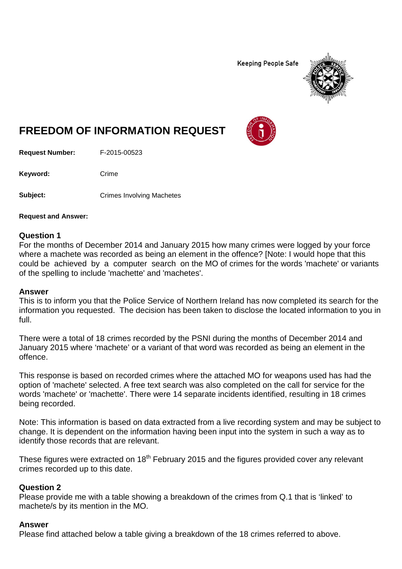**Keeping People Safe** 



# **FREEDOM OF INFORMATION REQUEST**

**Request Number:** F-2015-00523

Keyword: Crime

**Subject:** Crimes Involving Machetes

**Request and Answer:**

#### **Question 1**

For the months of December 2014 and January 2015 how many crimes were logged by your force where a machete was recorded as being an element in the offence? [Note: I would hope that this could be achieved by a computer search on the MO of crimes for the words 'machete' or variants of the spelling to include 'machette' and 'machetes'.

### **Answer**

This is to inform you that the Police Service of Northern Ireland has now completed its search for the information you requested. The decision has been taken to disclose the located information to you in full.

There were a total of 18 crimes recorded by the PSNI during the months of December 2014 and January 2015 where 'machete' or a variant of that word was recorded as being an element in the offence.

This response is based on recorded crimes where the attached MO for weapons used has had the option of 'machete' selected. A free text search was also completed on the call for service for the words 'machete' or 'machette'. There were 14 separate incidents identified, resulting in 18 crimes being recorded.

Note: This information is based on data extracted from a live recording system and may be subject to change. It is dependent on the information having been input into the system in such a way as to identify those records that are relevant.

These figures were extracted on 18<sup>th</sup> February 2015 and the figures provided cover any relevant crimes recorded up to this date.

### **Question 2**

Please provide me with a table showing a breakdown of the crimes from Q.1 that is 'linked' to machete/s by its mention in the MO.

### **Answer**

Please find attached below a table giving a breakdown of the 18 crimes referred to above.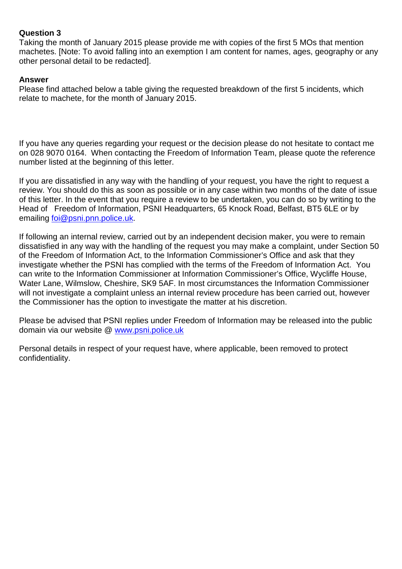## **Question 3**

Taking the month of January 2015 please provide me with copies of the first 5 MOs that mention machetes. [Note: To avoid falling into an exemption I am content for names, ages, geography or any other personal detail to be redacted].

# **Answer**

Please find attached below a table giving the requested breakdown of the first 5 incidents, which relate to machete, for the month of January 2015.

If you have any queries regarding your request or the decision please do not hesitate to contact me on 028 9070 0164. When contacting the Freedom of Information Team, please quote the reference number listed at the beginning of this letter.

If you are dissatisfied in any way with the handling of your request, you have the right to request a review. You should do this as soon as possible or in any case within two months of the date of issue of this letter. In the event that you require a review to be undertaken, you can do so by writing to the Head of Freedom of Information, PSNI Headquarters, 65 Knock Road, Belfast, BT5 6LE or by emailing [foi@psni.pnn.police.uk.](mailto:foi@psni.pnn.police.uk)

If following an internal review, carried out by an independent decision maker, you were to remain dissatisfied in any way with the handling of the request you may make a complaint, under Section 50 of the Freedom of Information Act, to the Information Commissioner's Office and ask that they investigate whether the PSNI has complied with the terms of the Freedom of Information Act. You can write to the Information Commissioner at Information Commissioner's Office, Wycliffe House, Water Lane, Wilmslow, Cheshire, SK9 5AF. In most circumstances the Information Commissioner will not investigate a complaint unless an internal review procedure has been carried out, however the Commissioner has the option to investigate the matter at his discretion.

Please be advised that PSNI replies under Freedom of Information may be released into the public domain via our website @ [www.psni.police.uk](http://www.psni.police.uk/)

Personal details in respect of your request have, where applicable, been removed to protect confidentiality.